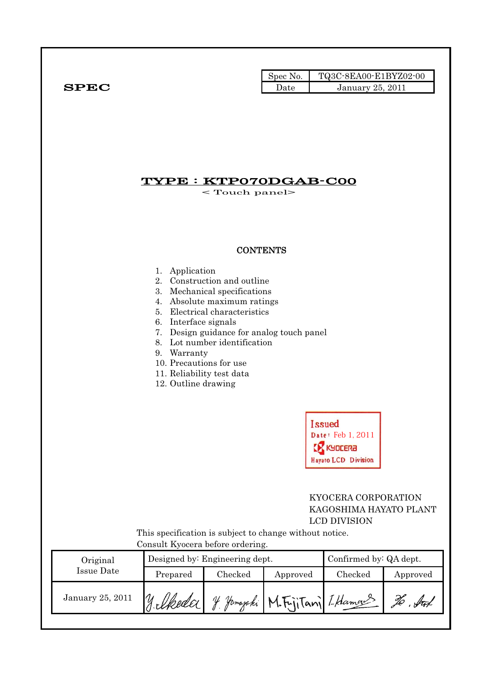|              | Spec No.             | TQ3C-8EA00-E1BYZ02-00   |  |
|--------------|----------------------|-------------------------|--|
| ${\bf SPEC}$ | $\rm{\textsf{Date}}$ | <b>January 25, 2011</b> |  |

# TYPE : KTP070DGAB-C00

< Touch panel>

### **CONTENTS**

#### 1. Application

- 2. Construction and outline
- 3. Mechanical specifications
- 4. Absolute maximum ratings
- 5. Electrical characteristics
- 6. Interface signals
- 7. Design guidance for analog touch panel
- 8. Lot number identification
- 9. Warranty
- 10. Precautions for use
- 11. Reliability test data
- 12. Outline drawing

| <b>Issued</b>       |
|---------------------|
| Date: Feb 1, 2011   |
| <b>KX KYDLERA</b>   |
| Hayato LCD Division |

### KYOCERA CORPORATION KAGOSHIMA HAYATO PLANT LCD DIVISION

 This specification is subject to change without notice. Consult Kyocera before ordering.

| Original         |          | Designed by: Engineering dept. | Confirmed by: QA dept. |         |          |  |
|------------------|----------|--------------------------------|------------------------|---------|----------|--|
| Issue Date       | Prepared | Checked                        | Approved               | Checked | Approved |  |
| January 25, 2011 |          | Homazaki                       | M.F.jiTani LHamaus     |         |          |  |
|                  |          |                                |                        |         |          |  |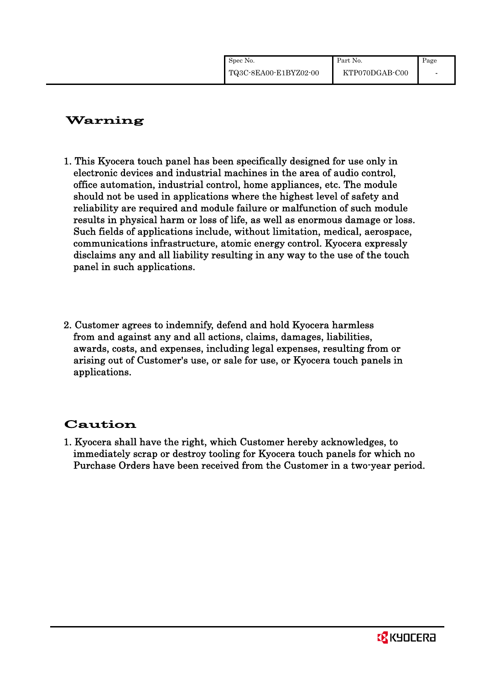| Spec No.              | Part No.       | Page |
|-----------------------|----------------|------|
| TQ3C-8EA00-E1BYZ02-00 | KTP070DGAB-C00 |      |

# Warning

- 1. This Kyocera touch panel has been specifically designed for use only in electronic devices and industrial machines in the area of audio control, office automation, industrial control, home appliances, etc. The module should not be used in applications where the highest level of safety and reliability are required and module failure or malfunction of such module results in physical harm or loss of life, as well as enormous damage or loss. Such fields of applications include, without limitation, medical, aerospace, communications infrastructure, atomic energy control. Kyocera expressly disclaims any and all liability resulting in any way to the use of the touch panel in such applications.
- 2. Customer agrees to indemnify, defend and hold Kyocera harmless from and against any and all actions, claims, damages, liabilities, awards, costs, and expenses, including legal expenses, resulting from or arising out of Customer's use, or sale for use, or Kyocera touch panels in applications.

# Caution

1. Kyocera shall have the right, which Customer hereby acknowledges, to immediately scrap or destroy tooling for Kyocera touch panels for which no Purchase Orders have been received from the Customer in a two-year period.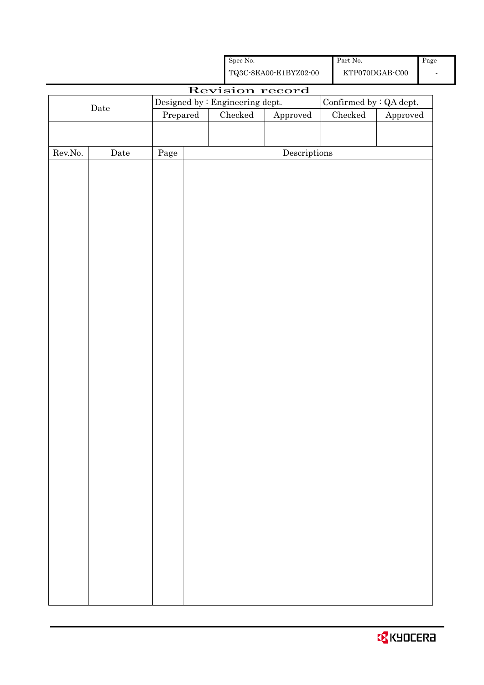|         |                                                         |          |  | ${\rm Spec}$ No. |                                                    | Part No.                        |          | Page |
|---------|---------------------------------------------------------|----------|--|------------------|----------------------------------------------------|---------------------------------|----------|------|
|         |                                                         |          |  |                  | ${\bf TQ3C\text{-}8EAOO\text{-}E1BYZ02\text{-}00}$ | $\operatorname{KTP070DGAB-C00}$ |          |      |
|         |                                                         |          |  |                  | Revision record                                    |                                 |          |      |
|         | Designed by : Engineering dept.<br>$\rm{\textbf{Date}}$ |          |  |                  | Confirmed by : QA dept.                            |                                 |          |      |
|         |                                                         | Prepared |  | ${\it Checked}$  | ${\Large\bf Approved}$                             | $\rm Checked$                   | Approved |      |
|         |                                                         |          |  |                  |                                                    |                                 |          |      |
| Rev.No. | Date                                                    | Page     |  |                  | $\label{eq:2} \textbf{Descriptions}$               |                                 |          |      |
|         |                                                         |          |  |                  |                                                    |                                 |          |      |
|         |                                                         |          |  |                  |                                                    |                                 |          |      |
|         |                                                         |          |  |                  |                                                    |                                 |          |      |
|         |                                                         |          |  |                  |                                                    |                                 |          |      |
|         |                                                         |          |  |                  |                                                    |                                 |          |      |
|         |                                                         |          |  |                  |                                                    |                                 |          |      |
|         |                                                         |          |  |                  |                                                    |                                 |          |      |
|         |                                                         |          |  |                  |                                                    |                                 |          |      |
|         |                                                         |          |  |                  |                                                    |                                 |          |      |
|         |                                                         |          |  |                  |                                                    |                                 |          |      |
|         |                                                         |          |  |                  |                                                    |                                 |          |      |
|         |                                                         |          |  |                  |                                                    |                                 |          |      |
|         |                                                         |          |  |                  |                                                    |                                 |          |      |
|         |                                                         |          |  |                  |                                                    |                                 |          |      |
|         |                                                         |          |  |                  |                                                    |                                 |          |      |
|         |                                                         |          |  |                  |                                                    |                                 |          |      |
|         |                                                         |          |  |                  |                                                    |                                 |          |      |
|         |                                                         |          |  |                  |                                                    |                                 |          |      |
|         |                                                         |          |  |                  |                                                    |                                 |          |      |
|         |                                                         |          |  |                  |                                                    |                                 |          |      |
|         |                                                         |          |  |                  |                                                    |                                 |          |      |
|         |                                                         |          |  |                  |                                                    |                                 |          |      |
|         |                                                         |          |  |                  |                                                    |                                 |          |      |
|         |                                                         |          |  |                  |                                                    |                                 |          |      |
|         |                                                         |          |  |                  |                                                    |                                 |          |      |
|         |                                                         |          |  |                  |                                                    |                                 |          |      |
|         |                                                         |          |  |                  |                                                    |                                 |          |      |
|         |                                                         |          |  |                  |                                                    |                                 |          |      |
|         |                                                         |          |  |                  |                                                    |                                 |          |      |
|         |                                                         |          |  |                  |                                                    |                                 |          |      |
|         |                                                         |          |  |                  |                                                    |                                 |          |      |
|         |                                                         |          |  |                  |                                                    |                                 |          |      |
|         |                                                         |          |  |                  |                                                    |                                 |          |      |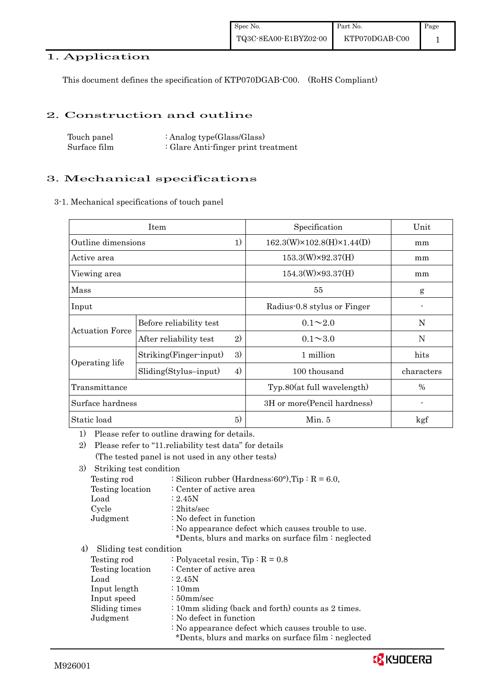### 1. Application

This document defines the specification of KTP070DGAB-C00. (RoHS Compliant)

#### 2. Construction and outline

| Touch panel  | : Analog type $(Glass/Glass)$       |
|--------------|-------------------------------------|
| Surface film | : Glare Anti-finger print treatment |

### 3. Mechanical specifications

3-1. Mechanical specifications of touch panel

|                        | Item                    |              | Specification                           | Unit       |
|------------------------|-------------------------|--------------|-----------------------------------------|------------|
| Outline dimensions     |                         | 1)           | $162.3(W)\times 102.8(H)\times 1.44(D)$ | mm         |
| Active area            |                         |              | $153.3(W)\times 92.37(H)$               | mm         |
| Viewing area           |                         |              | $154.3(W)\times 93.37(H)$               | mm         |
| Mass                   |                         |              | 55                                      | g          |
| Input                  |                         |              | Radius-0.8 stylus or Finger             |            |
|                        | Before reliability test |              | $0.1 \sim 2.0$                          | N          |
| <b>Actuation Force</b> | After reliability test  | $\mathbf{2}$ | $0.1 \sim 3.0$                          | N          |
|                        | Striking(Finger-input)  | 3)           | 1 million                               | hits       |
| Operating life         | $Sliding(Stylus-input)$ | 4)           | 100 thousand                            | characters |
| Transmittance          |                         |              | Typ.80(at full wavelength)              | %          |
| Surface hardness       |                         |              | 3H or more (Pencil hardness)            |            |
| Static load            |                         | 5)           | Min. 5                                  | kgf        |

1) Please refer to outline drawing for details.

2) Please refer to "11.reliability test data" for details (The tested panel is not used in any other tests)

3) Striking test condition

| Testing rod      | : Silicon rubber (Hardness: $60^{\circ}$ ), Tip: R = 6.0, |
|------------------|-----------------------------------------------------------|
| Testing location | : Center of active area                                   |
| Load             | : 2.45N                                                   |
| Cycle            | $: 2 \text{hits/sec}$                                     |
| Judgment         | : No defect in function                                   |
|                  | : No appearance defect which causes trouble to use.       |
|                  | *Dents, blurs and marks on surface film : neglected       |
|                  |                                                           |

4) Sliding test condition

| Testing rod      | : Polyacetal resin, Tip : $R = 0.8$                                                                                                                                                                                                                                                                                                                                                       |
|------------------|-------------------------------------------------------------------------------------------------------------------------------------------------------------------------------------------------------------------------------------------------------------------------------------------------------------------------------------------------------------------------------------------|
| Testing location | : Center of active area                                                                                                                                                                                                                                                                                                                                                                   |
| Load             | : 2.45N                                                                                                                                                                                                                                                                                                                                                                                   |
| Input length     | $\div 10$ mm                                                                                                                                                                                                                                                                                                                                                                              |
| Input speed      | $\div 50$ mm/sec                                                                                                                                                                                                                                                                                                                                                                          |
| Sliding times    | : 10mm sliding (back and forth) counts as 2 times.                                                                                                                                                                                                                                                                                                                                        |
| Judgment         | : No defect in function                                                                                                                                                                                                                                                                                                                                                                   |
|                  | : No appearance defect which causes trouble to use.<br>$\mathbf{A}$ $\mathbf{D}$ $\mathbf{A}$ $\mathbf{A}$ $\mathbf{A}$ $\mathbf{A}$ $\mathbf{A}$ $\mathbf{A}$ $\mathbf{A}$ $\mathbf{A}$ $\mathbf{A}$ $\mathbf{A}$ $\mathbf{A}$ $\mathbf{A}$ $\mathbf{A}$ $\mathbf{A}$ $\mathbf{A}$ $\mathbf{A}$ $\mathbf{A}$ $\mathbf{A}$ $\mathbf{A}$ $\mathbf{A}$ $\mathbf{A}$ $\mathbf{A}$ $\mathbf{$ |

\*Dents, blurs and marks on surface film : neglected

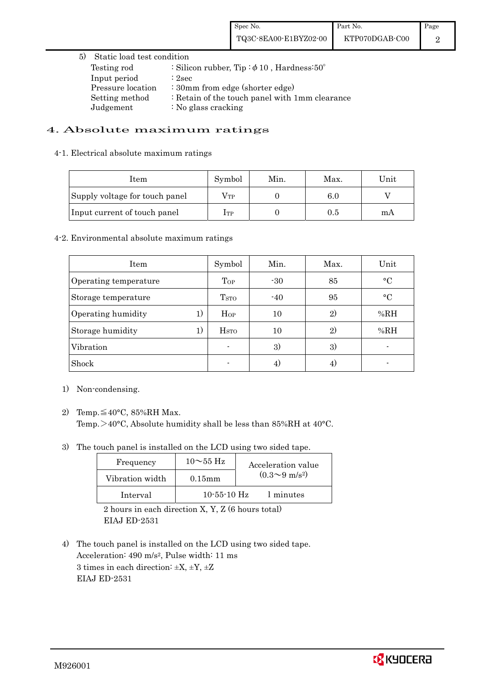### 5) Static load test condition Testing rod : Silicon rubber, Tip: $\phi$ 10, Hardness:50° Input period : 2sec Pressure location : 30mm from edge (shorter edge) Setting method : Retain of the touch panel with 1mm clearance Judgement : No glass cracking

#### 4. Absolute maximum ratings

#### 4-1. Electrical absolute maximum ratings

| Item                           | Symbol       | Min. | Max. | Unit |
|--------------------------------|--------------|------|------|------|
| Supply voltage for touch panel | $\rm V_{TP}$ |      | 6.0  |      |
| Input current of touch panel   | $1$ TP       |      | 0.5  | mA   |

#### 4-2. Environmental absolute maximum ratings

| Item                     | Symbol                  | Min.  | Max.         | Unit      |
|--------------------------|-------------------------|-------|--------------|-----------|
| Operating temperature    | Top                     | $-30$ | 85           | $\circ$ C |
| Storage temperature      | T <sub>STO</sub>        | $-40$ | 95           | $\circ$ C |
| 1)<br>Operating humidity | Hop                     | 10    | $\mathbf{2}$ | %RH       |
| 1)<br>Storage humidity   | <b>H</b> <sub>sto</sub> | 10    | 2)           | %RH       |
| Vibration                |                         | 3)    | 3)           |           |
| Shock                    |                         | 4)    | 41           |           |

- 1) Non-condensing.
- 2) Temp. $\leq 40^{\circ}$ C, 85%RH Max. Temp. >40°C, Absolute humidity shall be less than 85%RH at 40°C.
- 3) The touch panel is installed on the LCD using two sided tape.

| Frequency       | $10\sim$ 55 Hz | Acceleration value           |
|-----------------|----------------|------------------------------|
| Vibration width | $0.15$ mm      | $(0.3 \sim 9 \text{ m/s}^2)$ |
| Interval        | $10-55-10$ Hz  | 1 minutes                    |

 2 hours in each direction X, Y, Z (6 hours total) EIAJ ED-2531

4) The touch panel is installed on the LCD using two sided tape. Acceleration: 490 m/s2, Pulse width: 11 ms 3 times in each direction:  $\pm X$ ,  $\pm Y$ ,  $\pm Z$ EIAJ ED-2531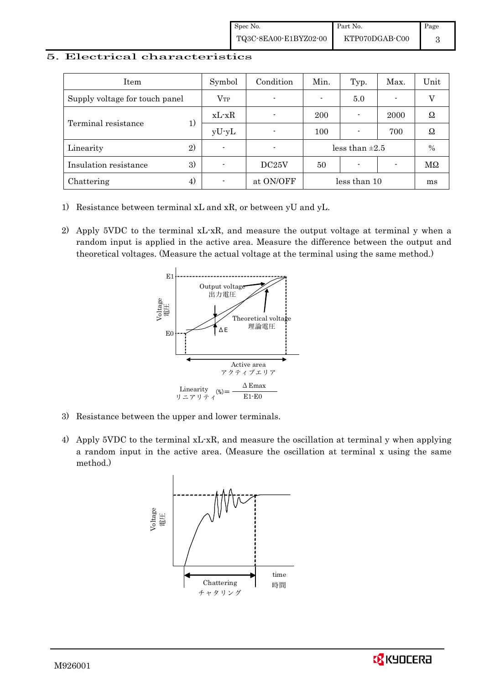#### 5. Electrical characteristics

| Item                           | Symbol         | Condition                | Min.                | Typ.                     | Max. | Unit          |
|--------------------------------|----------------|--------------------------|---------------------|--------------------------|------|---------------|
| Supply voltage for touch panel | $V_{TP}$       | $\blacksquare$           |                     | 5.0                      |      |               |
| Terminal resistance            | $xL-xR$        |                          | 200                 |                          | 2000 | Ω             |
|                                | $yU-yL$        | $\blacksquare$           | 100                 |                          | 700  | Ω             |
| 2)<br>Linearity                | $\blacksquare$ | $\overline{\phantom{0}}$ | less than $\pm 2.5$ |                          | $\%$ |               |
| 3)<br>Insulation resistance    | -              | DC25V                    | 50                  | $\overline{\phantom{0}}$ |      | $\rm M\Omega$ |
| 4)<br>Chattering               |                | at ON/OFF                | less than 10        |                          | ms   |               |

- 1) Resistance between terminal xL and xR, or between yU and yL.
- 2) Apply 5VDC to the terminal xL-xR, and measure the output voltage at terminal y when a random input is applied in the active area. Measure the difference between the output and theoretical voltages. (Measure the actual voltage at the terminal using the same method.)



- 3) Resistance between the upper and lower terminals.
- 4) Apply 5VDC to the terminal xL-xR, and measure the oscillation at terminal y when applying a random input in the active area. (Measure the oscillation at terminal x using the same method.)



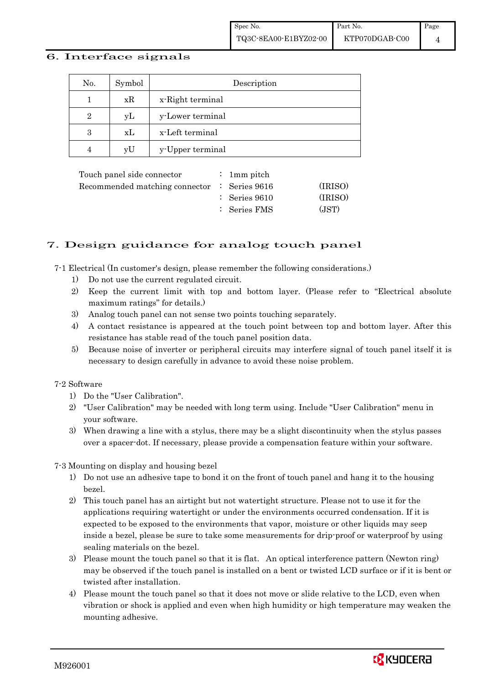#### 6. Interface signals

| No.            | Symbol | Description      |
|----------------|--------|------------------|
|                | xR     | x-Right terminal |
| $\overline{2}$ | yL     | y-Lower terminal |
| 3              | xL     | x-Left terminal  |
|                | vU     | y-Upper terminal |

|  | (IRISO)                                                                                                             |
|--|---------------------------------------------------------------------------------------------------------------------|
|  | (IRISO)                                                                                                             |
|  | (JST)                                                                                                               |
|  | : 1 mm pitch<br>Recommended matching connector $\therefore$ Series 9616<br>$\therefore$ Series 9610<br>: Series FMS |

### 7. Design guidance for analog touch panel

7-1 Electrical (In customer's design, please remember the following considerations.)

- 1) Do not use the current regulated circuit.
- 2) Keep the current limit with top and bottom layer. (Please refer to "Electrical absolute maximum ratings" for details.)
- 3) Analog touch panel can not sense two points touching separately.
- 4) A contact resistance is appeared at the touch point between top and bottom layer. After this resistance has stable read of the touch panel position data.
- 5) Because noise of inverter or peripheral circuits may interfere signal of touch panel itself it is necessary to design carefully in advance to avoid these noise problem.

#### 7-2 Software

- 1) Do the "User Calibration".
- 2) "User Calibration" may be needed with long term using. Include "User Calibration" menu in your software.
- 3) When drawing a line with a stylus, there may be a slight discontinuity when the stylus passes over a spacer-dot. If necessary, please provide a compensation feature within your software.

7-3 Mounting on display and housing bezel

- 1) Do not use an adhesive tape to bond it on the front of touch panel and hang it to the housing bezel.
- 2) This touch panel has an airtight but not watertight structure. Please not to use it for the applications requiring watertight or under the environments occurred condensation. If it is expected to be exposed to the environments that vapor, moisture or other liquids may seep inside a bezel, please be sure to take some measurements for drip-proof or waterproof by using sealing materials on the bezel.
- 3) Please mount the touch panel so that it is flat. An optical interference pattern (Newton ring) may be observed if the touch panel is installed on a bent or twisted LCD surface or if it is bent or twisted after installation.
- 4) Please mount the touch panel so that it does not move or slide relative to the LCD, even when vibration or shock is applied and even when high humidity or high temperature may weaken the mounting adhesive.

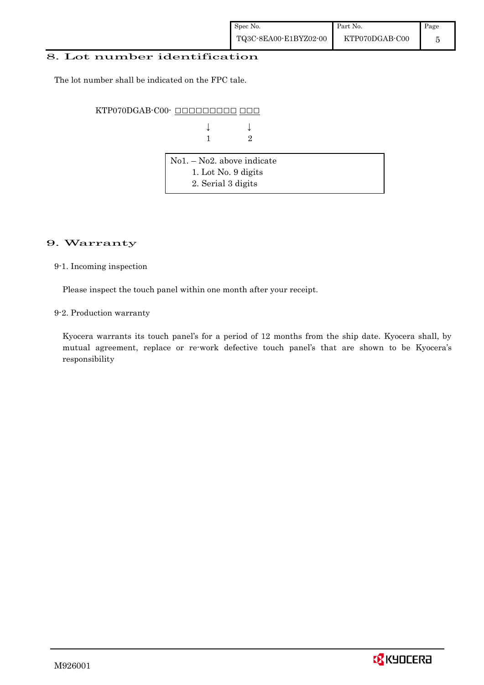#### 8. Lot number identification

The lot number shall be indicated on the FPC tale.

KTP070DGAB-C00- OOOOOOOOOO OOO

 $\downarrow$ 1 2

| $\vert$ No1. – No2. above indicate |  |
|------------------------------------|--|
| 1. Lot No. 9 digits                |  |
| 2. Serial 3 digits                 |  |

### 9. Warranty

9-1. Incoming inspection

Please inspect the touch panel within one month after your receipt.

9-2. Production warranty

 Kyocera warrants its touch panel's for a period of 12 months from the ship date. Kyocera shall, by mutual agreement, replace or re-work defective touch panel's that are shown to be Kyocera's responsibility

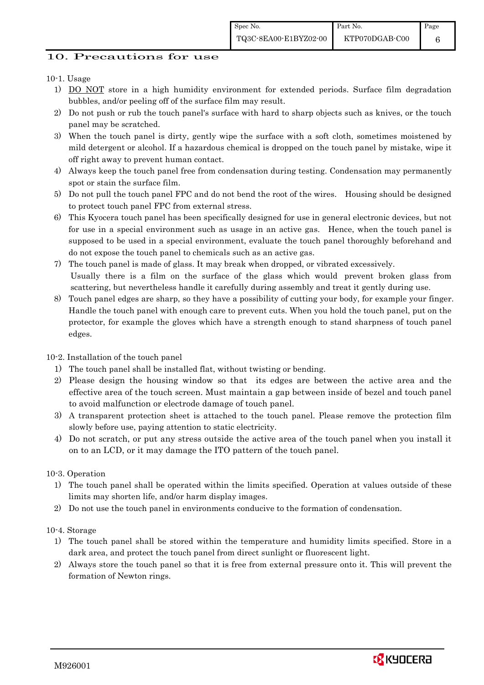6

## 10. Precautions for use

## 10-1. Usage

- 1) DO NOT store in a high humidity environment for extended periods. Surface film degradation bubbles, and/or peeling off of the surface film may result.
- 2) Do not push or rub the touch panel's surface with hard to sharp objects such as knives, or the touch panel may be scratched.
- 3) When the touch panel is dirty, gently wipe the surface with a soft cloth, sometimes moistened by mild detergent or alcohol. If a hazardous chemical is dropped on the touch panel by mistake, wipe it off right away to prevent human contact.
- 4) Always keep the touch panel free from condensation during testing. Condensation may permanently spot or stain the surface film.
- 5) Do not pull the touch panel FPC and do not bend the root of the wires. Housing should be designed to protect touch panel FPC from external stress.
- 6) This Kyocera touch panel has been specifically designed for use in general electronic devices, but not for use in a special environment such as usage in an active gas. Hence, when the touch panel is supposed to be used in a special environment, evaluate the touch panel thoroughly beforehand and do not expose the touch panel to chemicals such as an active gas.
- 7) The touch panel is made of glass. It may break when dropped, or vibrated excessively. Usually there is a film on the surface of the glass which would prevent broken glass from scattering, but nevertheless handle it carefully during assembly and treat it gently during use.
- 8) Touch panel edges are sharp, so they have a possibility of cutting your body, for example your finger. Handle the touch panel with enough care to prevent cuts. When you hold the touch panel, put on the protector, for example the gloves which have a strength enough to stand sharpness of touch panel edges.

### 10-2. Installation of the touch panel

- 1) The touch panel shall be installed flat, without twisting or bending.
- 2) Please design the housing window so that its edges are between the active area and the effective area of the touch screen. Must maintain a gap between inside of bezel and touch panel to avoid malfunction or electrode damage of touch panel.
- 3) A transparent protection sheet is attached to the touch panel. Please remove the protection film slowly before use, paying attention to static electricity.
- 4) Do not scratch, or put any stress outside the active area of the touch panel when you install it on to an LCD, or it may damage the ITO pattern of the touch panel.

### 10-3. Operation

- 1) The touch panel shall be operated within the limits specified. Operation at values outside of these limits may shorten life, and/or harm display images.
- 2) Do not use the touch panel in environments conducive to the formation of condensation.

### 10-4. Storage

- 1) The touch panel shall be stored within the temperature and humidity limits specified. Store in a dark area, and protect the touch panel from direct sunlight or fluorescent light.
- 2) Always store the touch panel so that it is free from external pressure onto it. This will prevent the formation of Newton rings.

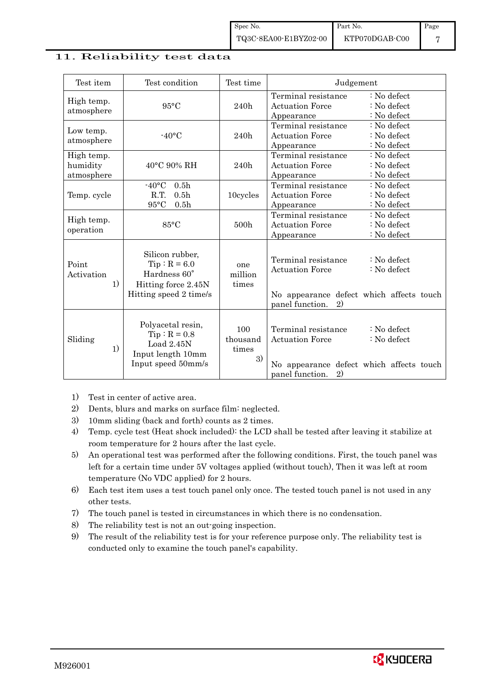#### 11. Reliability test data

| Test item                            | Test condition                                                                                           | Test time                      | Judgement                                                                                                                                                     |
|--------------------------------------|----------------------------------------------------------------------------------------------------------|--------------------------------|---------------------------------------------------------------------------------------------------------------------------------------------------------------|
| High temp.<br>atmosphere             | $95^{\circ}$ C                                                                                           | 240h                           | Terminal resistance<br>$: No$ defect<br>: No defect<br><b>Actuation Force</b><br>: No defect<br>Appearance                                                    |
| Low temp.<br>atmosphere              | $-40\degree C$                                                                                           | 240h                           | Terminal resistance<br>$: No$ defect<br><b>Actuation Force</b><br>$: No$ defect<br>: No defect<br>Appearance                                                  |
| High temp.<br>humidity<br>atmosphere | 40°C 90% RH                                                                                              | 240h                           | Terminal resistance<br>: No defect<br><b>Actuation Force</b><br>: No defect<br>: No defect<br>Appearance                                                      |
| Temp. cycle                          | $-40\textdegree C$<br>0.5 <sub>h</sub><br>R.T.<br>0.5 <sub>h</sub><br>$95^{\circ}$ C<br>0.5 <sub>h</sub> | 10cycles                       | Terminal resistance<br>: No defect<br><b>Actuation Force</b><br>$: No$ defect<br>$: No$ defect<br>Appearance                                                  |
| High temp.<br>operation              | $85^{\circ}$ C                                                                                           | 500h                           | Terminal resistance<br>: No defect<br>: No defect<br><b>Actuation Force</b><br>: No defect<br>Appearance                                                      |
| Point<br>Activation<br>1)            | Silicon rubber,<br>$Tip: R = 6.0$<br>Hardness 60°<br>Hitting force 2.45N<br>Hitting speed 2 time/s       | one<br>million<br>times        | Terminal resistance<br>$\therefore$ No defect<br><b>Actuation Force</b><br>$: No$ defect<br>No appearance defect which affects touch<br>panel function.<br>2) |
| Sliding<br>1)                        | Polyacetal resin,<br>$Tip: R = 0.8$<br>Load $2.45N$<br>Input length 10mm<br>Input speed 50mm/s           | 100<br>thousand<br>times<br>3) | Terminal resistance<br>$: No$ defect<br>: No defect<br><b>Actuation Force</b><br>No appearance defect which affects touch<br>panel function.<br>2)            |

1) Test in center of active area.

- 2) Dents, blurs and marks on surface film: neglected.
- 3) 10mm sliding (back and forth) counts as 2 times.
- 4) Temp. cycle test (Heat shock included): the LCD shall be tested after leaving it stabilize at room temperature for 2 hours after the last cycle.
- 5) An operational test was performed after the following conditions. First, the touch panel was left for a certain time under 5V voltages applied (without touch), Then it was left at room temperature (No VDC applied) for 2 hours.
- 6) Each test item uses a test touch panel only once. The tested touch panel is not used in any other tests.
- 7) The touch panel is tested in circumstances in which there is no condensation.
- 8) The reliability test is not an out-going inspection.
- 9) The result of the reliability test is for your reference purpose only. The reliability test is conducted only to examine the touch panel's capability.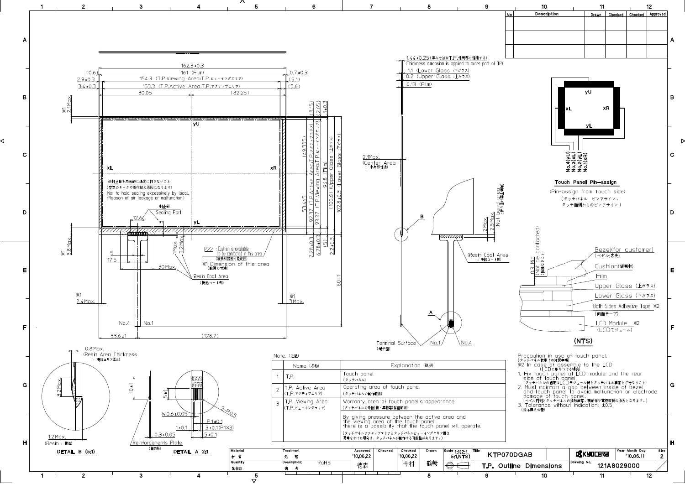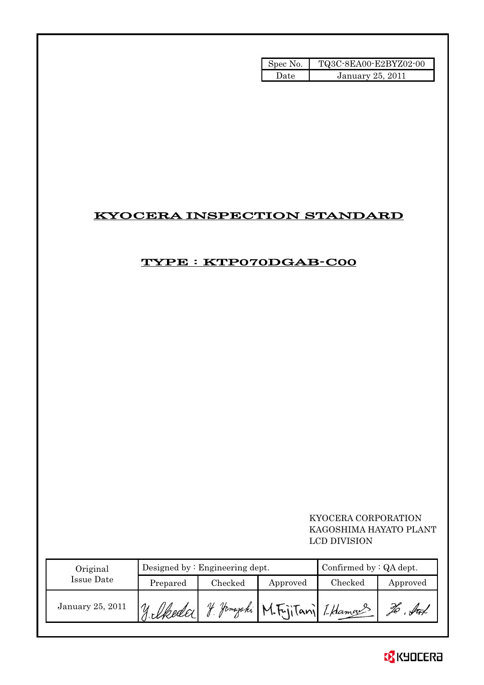| Spec No. | TQ3C-8EA00-E2BYZ02-00 |
|----------|-----------------------|
| Date     | January 25, 2011      |

# KYOCERA INSPECTION STANDARD

## TYPE : KTP070DGAB-C00

 KYOCERA CORPORATION KAGOSHIMA HAYATO PLANT LCD DIVISION

| Original         | Designed by $:$ Engineering dept. |         |                                      | Confirmed by $:QA$ dept. |          |
|------------------|-----------------------------------|---------|--------------------------------------|--------------------------|----------|
| Issue Date       | Prepared                          | Checked | Approved                             | Checked                  | Approved |
| January 25, 2011 | 11. Ukedal 1                      |         | Jama <i>zaki</i> M.FrjiTani I.Hamans |                          |          |

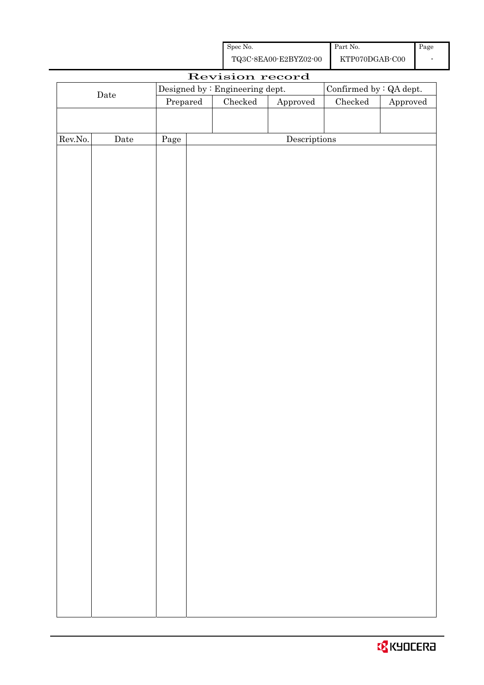| Spec No.              | Part No.       | Page |
|-----------------------|----------------|------|
| TQ3C-8EA00-E2BYZ02-00 | KTP070DGAB-C00 |      |

|         |                      |          | Revision record                 |              |                          |                        |
|---------|----------------------|----------|---------------------------------|--------------|--------------------------|------------------------|
|         |                      |          | Designed by : Engineering dept. |              | Confirmed by $:QA$ dept. |                        |
|         | $\rm{\textbf{Date}}$ | Prepared | Checked                         | Approved     | $\rm Checked$            | ${\Large\bf Approved}$ |
|         |                      |          |                                 |              |                          |                        |
|         |                      |          |                                 |              |                          |                        |
| Rev.No. | $\rm{\textbf{Date}}$ | Page     |                                 | Descriptions |                          |                        |
|         |                      |          |                                 |              |                          |                        |
|         |                      |          |                                 |              |                          |                        |
|         |                      |          |                                 |              |                          |                        |
|         |                      |          |                                 |              |                          |                        |
|         |                      |          |                                 |              |                          |                        |
|         |                      |          |                                 |              |                          |                        |
|         |                      |          |                                 |              |                          |                        |
|         |                      |          |                                 |              |                          |                        |
|         |                      |          |                                 |              |                          |                        |
|         |                      |          |                                 |              |                          |                        |
|         |                      |          |                                 |              |                          |                        |
|         |                      |          |                                 |              |                          |                        |
|         |                      |          |                                 |              |                          |                        |
|         |                      |          |                                 |              |                          |                        |
|         |                      |          |                                 |              |                          |                        |
|         |                      |          |                                 |              |                          |                        |
|         |                      |          |                                 |              |                          |                        |
|         |                      |          |                                 |              |                          |                        |
|         |                      |          |                                 |              |                          |                        |
|         |                      |          |                                 |              |                          |                        |
|         |                      |          |                                 |              |                          |                        |
|         |                      |          |                                 |              |                          |                        |
|         |                      |          |                                 |              |                          |                        |
|         |                      |          |                                 |              |                          |                        |
|         |                      |          |                                 |              |                          |                        |
|         |                      |          |                                 |              |                          |                        |
|         |                      |          |                                 |              |                          |                        |
|         |                      |          |                                 |              |                          |                        |
|         |                      |          |                                 |              |                          |                        |
|         |                      |          |                                 |              |                          |                        |
|         |                      |          |                                 |              |                          |                        |
|         |                      |          |                                 |              |                          |                        |
|         |                      |          |                                 |              |                          |                        |
|         |                      |          |                                 |              |                          |                        |
|         |                      |          |                                 |              |                          |                        |
|         |                      |          |                                 |              |                          |                        |
|         |                      |          |                                 |              |                          |                        |
|         |                      |          |                                 |              |                          |                        |

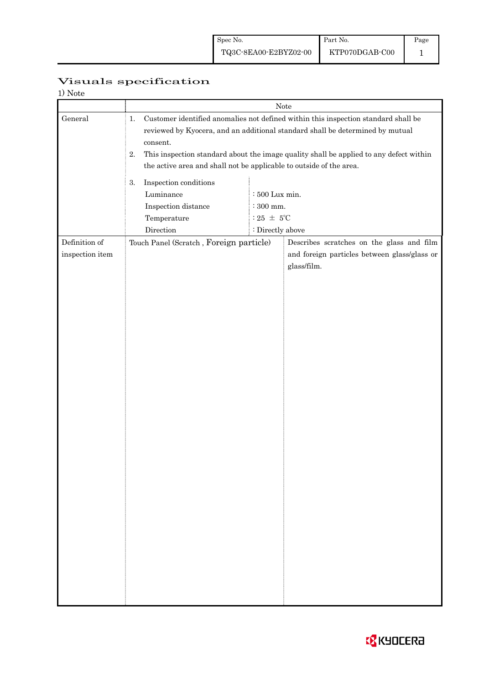| Visuals specification |
|-----------------------|
|-----------------------|

| 1) Note                          |                                                                                             |                                                                              |                                                                                                                                                                                                                                                               |  |  |
|----------------------------------|---------------------------------------------------------------------------------------------|------------------------------------------------------------------------------|---------------------------------------------------------------------------------------------------------------------------------------------------------------------------------------------------------------------------------------------------------------|--|--|
|                                  |                                                                                             |                                                                              | Note                                                                                                                                                                                                                                                          |  |  |
| General                          | 1.<br>consent.<br>2.<br>the active area and shall not be applicable to outside of the area. |                                                                              | Customer identified anomalies not defined within this inspection standard shall be<br>reviewed by Kyocera, and an additional standard shall be determined by mutual<br>This inspection standard about the image quality shall be applied to any defect within |  |  |
|                                  | Inspection conditions<br>3.<br>Luminance<br>Inspection distance<br>Temperature<br>Direction | : 500 Lux min.<br>$\therefore$ 300 mm.<br>: 25 $\pm$ 5°C<br>: Directly above |                                                                                                                                                                                                                                                               |  |  |
| Definition of<br>inspection item | Touch Panel (Scratch, Foreign particle)                                                     |                                                                              | Describes scratches on the glass and film<br>and foreign particles between glass/glass or<br>glass/film.                                                                                                                                                      |  |  |
|                                  |                                                                                             |                                                                              |                                                                                                                                                                                                                                                               |  |  |